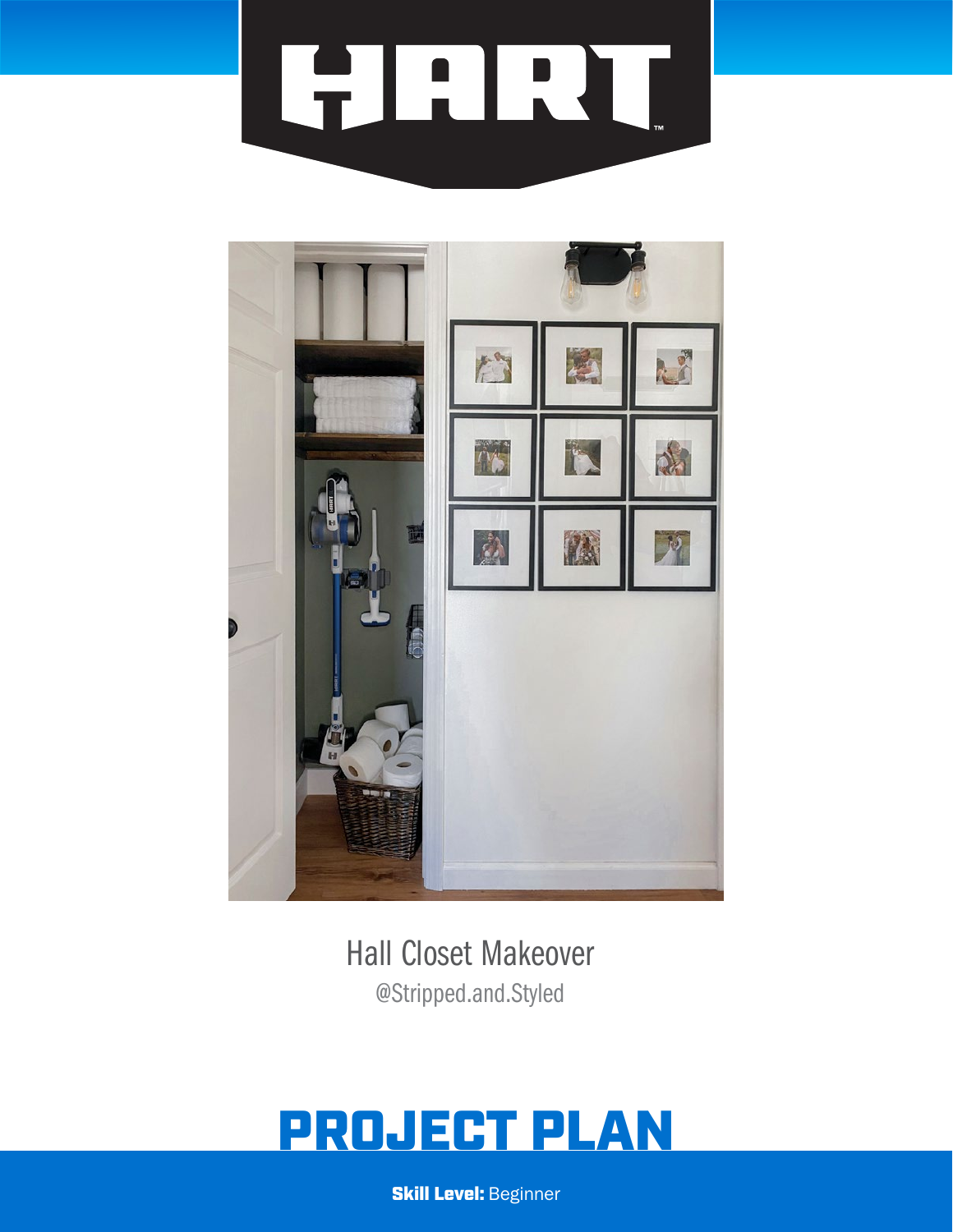# **FELRU**



Hall Closet Makeover @Stripped.and.Styled

# PROJECT PLAN

**Skill Level: Beginner**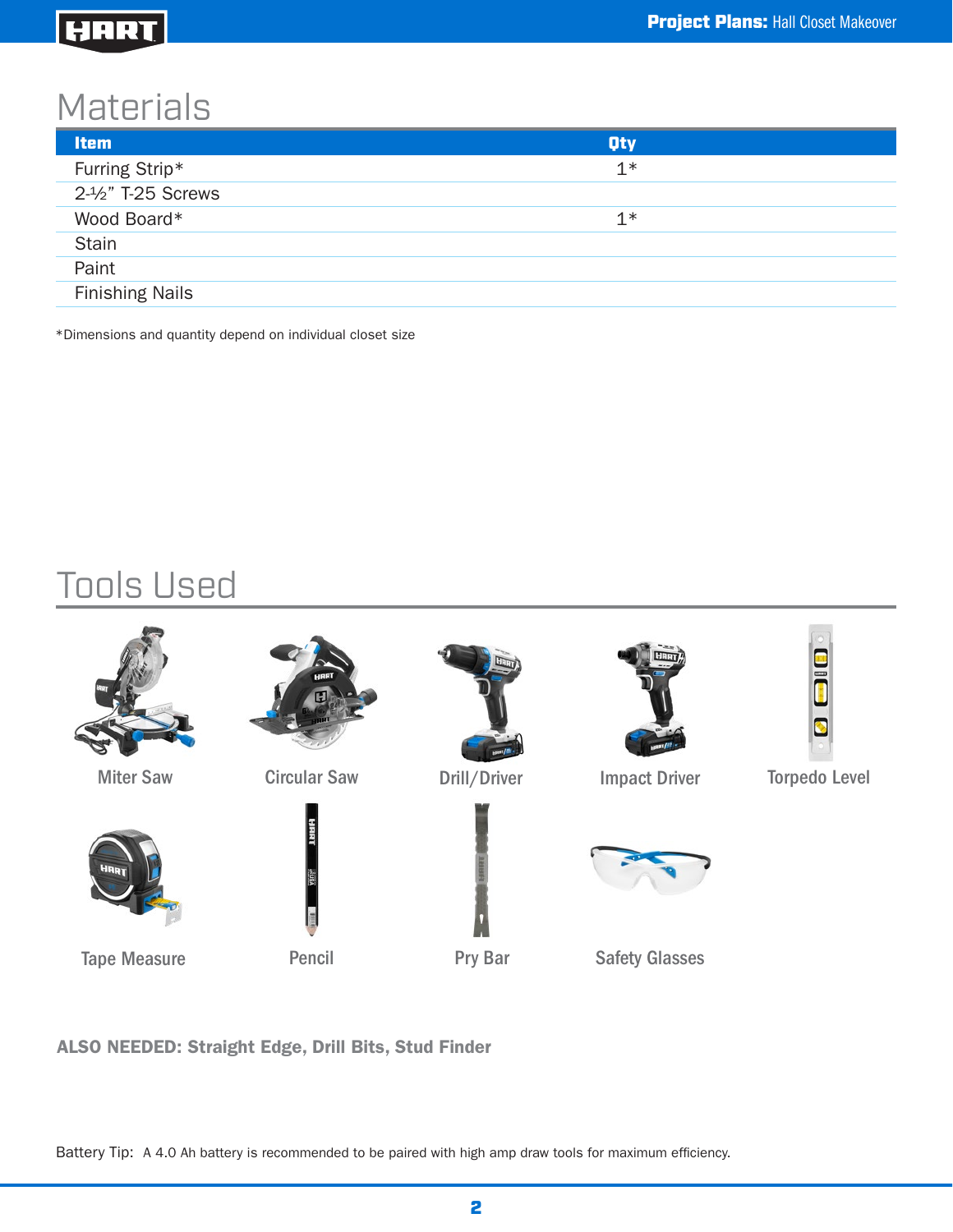#### HART

### **Materials**

| <b>Item</b>            | <b>Qty</b> |  |
|------------------------|------------|--|
| Furring Strip*         | $1*$       |  |
| 2-1/2" T-25 Screws     |            |  |
| Wood Board*            | $1*$       |  |
| <b>Stain</b>           |            |  |
| Paint                  |            |  |
| <b>Finishing Nails</b> |            |  |
|                        |            |  |

\*Dimensions and quantity depend on individual closet size

## Tools Used





Tape Measure **Pencil** Pry Bar



Circular Saw Drill/Driver









Miter Saw Circular Saw Drill/Driver Impact Driver



Safety Glasses



Torpedo Level

ALSO NEEDED: Straight Edge, Drill Bits, Stud Finder

Battery Tip: A 4.0 Ah battery is recommended to be paired with high amp draw tools for maximum efficiency.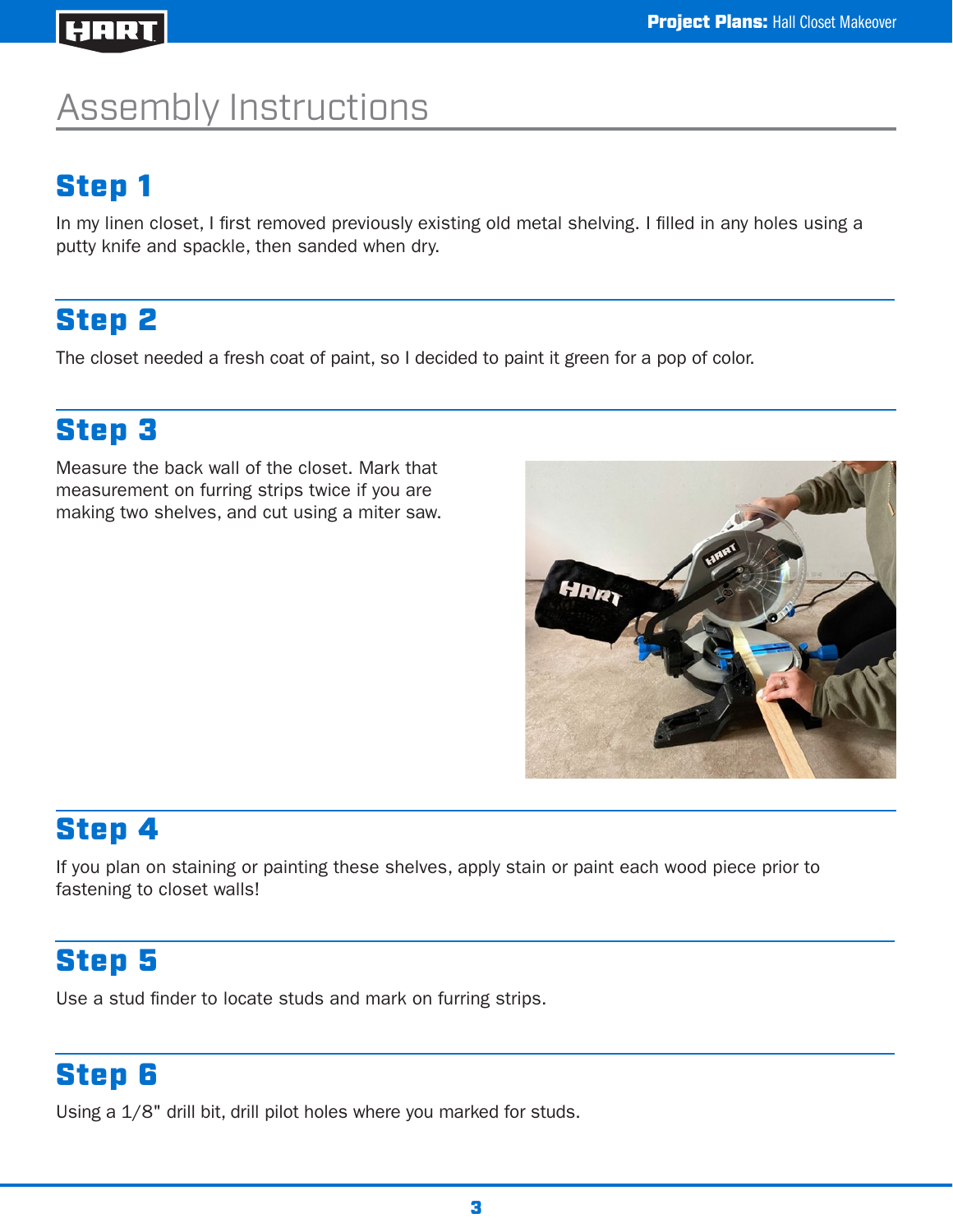#### HART

# Assembly Instructions

#### Step 1

In my linen closet, I first removed previously existing old metal shelving. I filled in any holes using a putty knife and spackle, then sanded when dry.

#### Step 2

The closet needed a fresh coat of paint, so I decided to paint it green for a pop of color.

#### Step 3

Measure the back wall of the closet. Mark that measurement on furring strips twice if you are making two shelves, and cut using a miter saw.



#### Step 4

If you plan on staining or painting these shelves, apply stain or paint each wood piece prior to fastening to closet walls!

#### Step 5

Use a stud finder to locate studs and mark on furring strips.

#### Step 6

Using a 1/8" drill bit, drill pilot holes where you marked for studs.